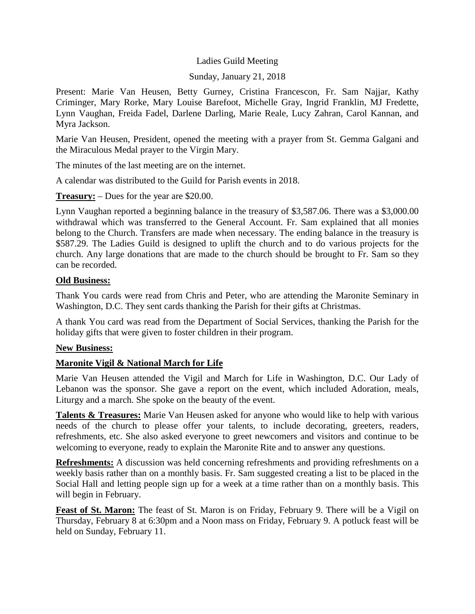## Ladies Guild Meeting

### Sunday, January 21, 2018

Present: Marie Van Heusen, Betty Gurney, Cristina Francescon, Fr. Sam Najjar, Kathy Criminger, Mary Rorke, Mary Louise Barefoot, Michelle Gray, Ingrid Franklin, MJ Fredette, Lynn Vaughan, Freida Fadel, Darlene Darling, Marie Reale, Lucy Zahran, Carol Kannan, and Myra Jackson.

Marie Van Heusen, President, opened the meeting with a prayer from St. Gemma Galgani and the Miraculous Medal prayer to the Virgin Mary.

The minutes of the last meeting are on the internet.

A calendar was distributed to the Guild for Parish events in 2018.

**Treasury:** – Dues for the year are \$20.00.

Lynn Vaughan reported a beginning balance in the treasury of \$3,587.06. There was a \$3,000.00 withdrawal which was transferred to the General Account. Fr. Sam explained that all monies belong to the Church. Transfers are made when necessary. The ending balance in the treasury is \$587.29. The Ladies Guild is designed to uplift the church and to do various projects for the church. Any large donations that are made to the church should be brought to Fr. Sam so they can be recorded.

#### **Old Business:**

Thank You cards were read from Chris and Peter, who are attending the Maronite Seminary in Washington, D.C. They sent cards thanking the Parish for their gifts at Christmas.

A thank You card was read from the Department of Social Services, thanking the Parish for the holiday gifts that were given to foster children in their program.

### **New Business:**

### **Maronite Vigil & National March for Life**

Marie Van Heusen attended the Vigil and March for Life in Washington, D.C. Our Lady of Lebanon was the sponsor. She gave a report on the event, which included Adoration, meals, Liturgy and a march. She spoke on the beauty of the event.

**Talents & Treasures:** Marie Van Heusen asked for anyone who would like to help with various needs of the church to please offer your talents, to include decorating, greeters, readers, refreshments, etc. She also asked everyone to greet newcomers and visitors and continue to be welcoming to everyone, ready to explain the Maronite Rite and to answer any questions.

**Refreshments:** A discussion was held concerning refreshments and providing refreshments on a weekly basis rather than on a monthly basis. Fr. Sam suggested creating a list to be placed in the Social Hall and letting people sign up for a week at a time rather than on a monthly basis. This will begin in February.

**Feast of St. Maron:** The feast of St. Maron is on Friday, February 9. There will be a Vigil on Thursday, February 8 at 6:30pm and a Noon mass on Friday, February 9. A potluck feast will be held on Sunday, February 11.